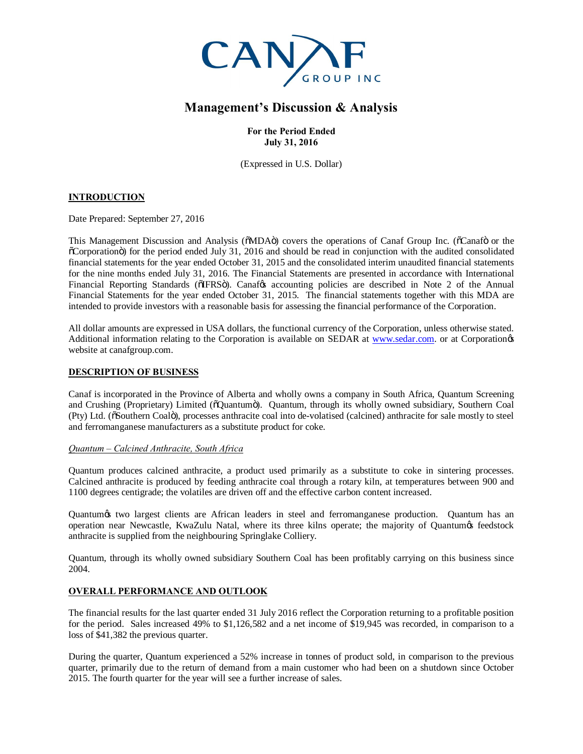

# **Management's Discussion & Analysis**

**For the Period Ended July 31, 2016**

(Expressed in U.S. Dollar)

# **INTRODUCTION**

Date Prepared: September 27, 2016

This Management Discussion and Analysis ( $\delta MDA\ddot{o}$ ) covers the operations of Canaf Group Inc. ( $\delta C$ anaf $\ddot{o}$  or the "Corporation") for the period ended July 31, 2016 and should be read in conjunction with the audited consolidated financial statements for the year ended October 31, 2015 and the consolidated interim unaudited financial statements for the nine months ended July 31, 2016. The Financial Statements are presented in accordance with International Financial Reporting Standards ( $\delta$ IFRS $\delta$ ). Canafos accounting policies are described in Note 2 of the Annual Financial Statements for the year ended October 31, 2015. The financial statements together with this MDA are intended to provide investors with a reasonable basis for assessing the financial performance of the Corporation.

All dollar amounts are expressed in USA dollars, the functional currency of the Corporation, unless otherwise stated. Additional information relating to the Corporation is available on SEDAR at [www.sedar.com](http://www.sedar.com/). or at Corporation<sub>os</sub> website at canafgroup.com.

# **DESCRIPTION OF BUSINESS**

Canaf is incorporated in the Province of Alberta and wholly owns a company in South Africa, Quantum Screening and Crushing (Proprietary) Limited ( $\delta$ Ouantum $\ddot{\text{o}}$ ). Quantum, through its wholly owned subsidiary, Southern Coal (Pty) Ltd. ( $\delta$ Southern Coal $\ddot{o}$ ), processes anthracite coal into de-volatised (calcined) anthracite for sale mostly to steel and ferromanganese manufacturers as a substitute product for coke.

### *Quantum – Calcined Anthracite, South Africa*

Quantum produces calcined anthracite, a product used primarily as a substitute to coke in sintering processes. Calcined anthracite is produced by feeding anthracite coal through a rotary kiln, at temperatures between 900 and 1100 degrees centigrade; the volatiles are driven off and the effective carbon content increased.

Quantum es two largest clients are African leaders in steel and ferromanganese production. Quantum has an operation near Newcastle, KwaZulu Natal, where its three kilns operate; the majority of Quantumos feedstock anthracite is supplied from the neighbouring Springlake Colliery.

Quantum, through its wholly owned subsidiary Southern Coal has been profitably carrying on this business since 2004.

# **OVERALL PERFORMANCE AND OUTLOOK**

The financial results for the last quarter ended 31 July 2016 reflect the Corporation returning to a profitable position for the period. Sales increased 49% to \$1,126,582 and a net income of \$19,945 was recorded, in comparison to a loss of \$41,382 the previous quarter.

During the quarter, Quantum experienced a 52% increase in tonnes of product sold, in comparison to the previous quarter, primarily due to the return of demand from a main customer who had been on a shutdown since October 2015. The fourth quarter for the year will see a further increase of sales.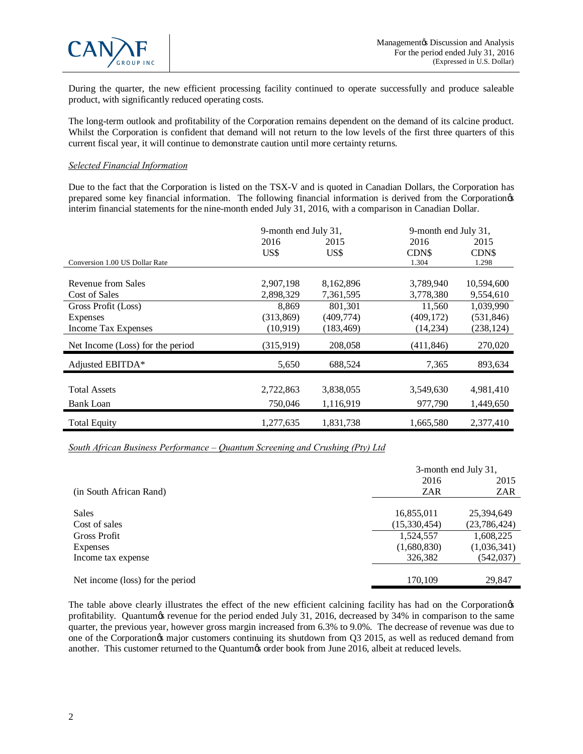

During the quarter, the new efficient processing facility continued to operate successfully and produce saleable product, with significantly reduced operating costs.

The long-term outlook and profitability of the Corporation remains dependent on the demand of its calcine product. Whilst the Corporation is confident that demand will not return to the low levels of the first three quarters of this current fiscal year, it will continue to demonstrate caution until more certainty returns.

### *Selected Financial Information*

Due to the fact that the Corporation is listed on the TSX-V and is quoted in Canadian Dollars, the Corporation has prepared some key financial information. The following financial information is derived from the Corporation's interim financial statements for the nine-month ended July 31, 2016, with a comparison in Canadian Dollar.

|                                  | 9-month end July 31, |            | 9-month end July 31, |            |
|----------------------------------|----------------------|------------|----------------------|------------|
|                                  | 2016                 | 2015       | 2016                 | 2015       |
|                                  | US\$                 | US\$       | CDN\$                | CDN\$      |
| Conversion 1.00 US Dollar Rate   |                      |            | 1.304                | 1.298      |
|                                  |                      |            |                      |            |
| Revenue from Sales               | 2,907,198            | 8,162,896  | 3,789,940            | 10,594,600 |
| Cost of Sales                    | 2,898,329            | 7,361,595  | 3,778,380            | 9,554,610  |
| Gross Profit (Loss)              | 8,869                | 801,301    | 11,560               | 1,039,990  |
| <b>Expenses</b>                  | (313, 869)           | (409, 774) | (409, 172)           | (531, 846) |
| Income Tax Expenses              | (10, 919)            | (183, 469) | (14,234)             | (238, 124) |
| Net Income (Loss) for the period | (315, 919)           | 208,058    | (411, 846)           | 270,020    |
| Adjusted EBITDA*                 | 5,650                | 688,524    | 7,365                | 893,634    |
|                                  |                      |            |                      |            |
| <b>Total Assets</b>              | 2,722,863            | 3,838,055  | 3,549,630            | 4,981,410  |
| Bank Loan                        | 750,046              | 1,116,919  | 977,790              | 1,449,650  |
| <b>Total Equity</b>              | 1,277,635            | 1,831,738  | 1,665,580            | 2,377,410  |

*South African Business Performance – Quantum Screening and Crushing (Pty) Ltd*

|                                  |              | 3-month end July 31, |  |
|----------------------------------|--------------|----------------------|--|
|                                  | 2016         | 2015                 |  |
| (in South African Rand)          | ZAR          | ZAR                  |  |
|                                  |              |                      |  |
| <b>Sales</b>                     | 16,855,011   | 25,394,649           |  |
| Cost of sales                    | (15,330,454) | (23, 786, 424)       |  |
| Gross Profit                     | 1,524,557    | 1,608,225            |  |
| Expenses                         | (1,680,830)  | (1,036,341)          |  |
| Income tax expense               | 326,382      | (542, 037)           |  |
|                                  |              |                      |  |
| Net income (loss) for the period | 170,109      | 29,847               |  |

The table above clearly illustrates the effect of the new efficient calcining facility has had on the Corporation's profitability. Quantum is revenue for the period ended July 31, 2016, decreased by 34% in comparison to the same quarter, the previous year, however gross margin increased from 6.3% to 9.0%. The decrease of revenue was due to one of the Corporation $\alpha$  major customers continuing its shutdown from Q3 2015, as well as reduced demand from another. This customer returned to the Quantum% order book from June 2016, albeit at reduced levels.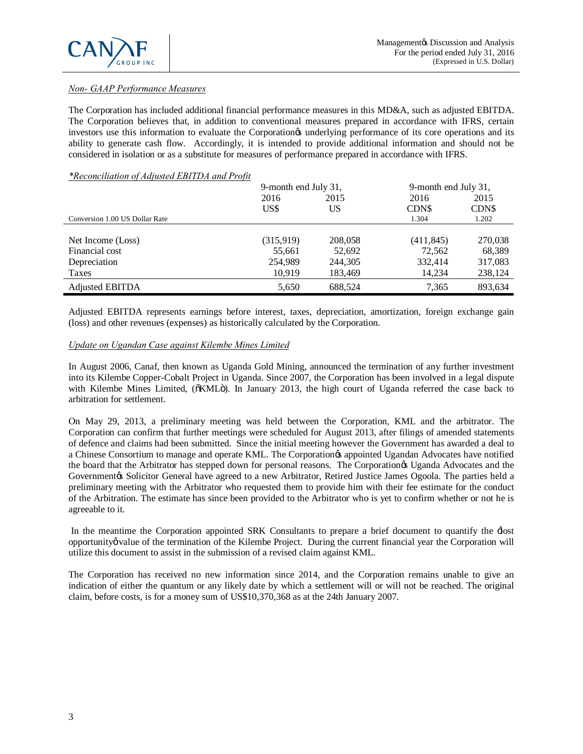# *Non- GAAP Performance Measures*

The Corporation has included additional financial performance measures in this MD&A, such as adjusted EBITDA. The Corporation believes that, in addition to conventional measures prepared in accordance with IFRS, certain investors use this information to evaluate the Corporation<sup>os</sup> underlying performance of its core operations and its ability to generate cash flow. Accordingly, it is intended to provide additional information and should not be considered in isolation or as a substitute for measures of performance prepared in accordance with IFRS.

### *\*Reconciliation of Adjusted EBITDA and Profit*

|                                | 9-month end July 31, |         | 9-month end July 31, |         |
|--------------------------------|----------------------|---------|----------------------|---------|
|                                | 2016                 | 2015    | 2016                 | 2015    |
|                                | US\$                 | US      | <b>CDNS</b>          | CDN\$   |
| Conversion 1.00 US Dollar Rate |                      |         | 1.304                | 1.202   |
|                                |                      |         |                      |         |
| Net Income (Loss)              | (315,919)            | 208,058 | (411, 845)           | 270,038 |
| Financial cost                 | 55,661               | 52,692  | 72,562               | 68,389  |
| Depreciation                   | 254.989              | 244,305 | 332.414              | 317,083 |
| Taxes                          | 10,919               | 183,469 | 14,234               | 238,124 |
| Adjusted EBITDA                | 5,650                | 688,524 | 7,365                | 893,634 |

Adjusted EBITDA represents earnings before interest, taxes, depreciation, amortization, foreign exchange gain (loss) and other revenues (expenses) as historically calculated by the Corporation.

## *Update on Ugandan Case against Kilembe Mines Limited*

In August 2006, Canaf, then known as Uganda Gold Mining, announced the termination of any further investment into its Kilembe Copper-Cobalt Project in Uganda. Since 2007, the Corporation has been involved in a legal dispute with Kilembe Mines Limited, ( $\delta$ KML $\ddot{o}$ ). In January 2013, the high court of Uganda referred the case back to arbitration for settlement.

On May 29, 2013, a preliminary meeting was held between the Corporation, KML and the arbitrator. The Corporation can confirm that further meetings were scheduled for August 2013, after filings of amended statements of defence and claims had been submitted. Since the initial meeting however the Government has awarded a deal to a Chinese Consortium to manage and operate KML. The Corporation & appointed Ugandan Advocates have notified the board that the Arbitrator has stepped down for personal reasons. The Corporation & Uganda Advocates and the Governmentøs Solicitor General have agreed to a new Arbitrator, Retired Justice James Ogoola. The parties held a preliminary meeting with the Arbitrator who requested them to provide him with their fee estimate for the conduct of the Arbitration. The estimate has since been provided to the Arbitrator who is yet to confirm whether or not he is agreeable to it.

In the meantime the Corporation appointed SRK Consultants to prepare a brief document to quantify the  $\pm$ lost opportunity value of the termination of the Kilembe Project. During the current financial year the Corporation will utilize this document to assist in the submission of a revised claim against KML.

The Corporation has received no new information since 2014, and the Corporation remains unable to give an indication of either the quantum or any likely date by which a settlement will or will not be reached. The original claim, before costs, is for a money sum of US\$10,370,368 as at the 24th January 2007.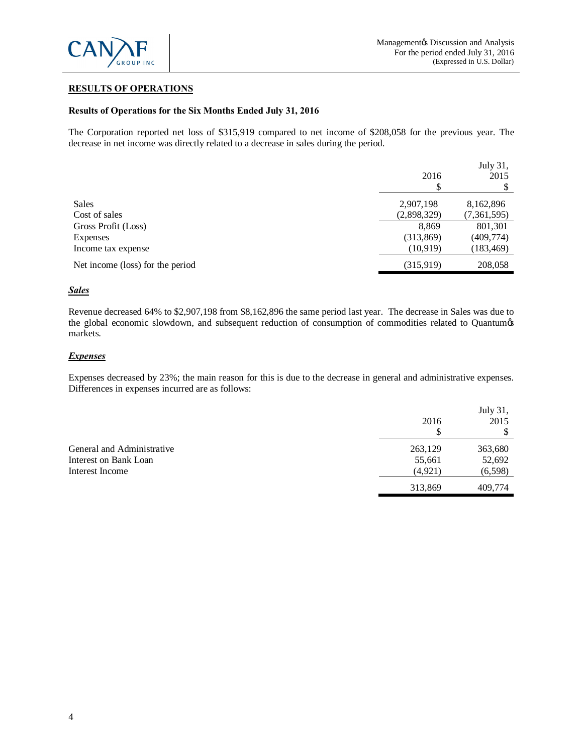

# **RESULTS OF OPERATIONS**

### **Results of Operations for the Six Months Ended July 31, 2016**

The Corporation reported net loss of \$315,919 compared to net income of \$208,058 for the previous year. The decrease in net income was directly related to a decrease in sales during the period.

|                                  | 2016        | July 31,<br>2015 |
|----------------------------------|-------------|------------------|
| <b>Sales</b>                     | 2,907,198   | 8,162,896        |
| Cost of sales                    | (2,898,329) | (7,361,595)      |
| Gross Profit (Loss)              | 8.869       | 801,301          |
| <b>Expenses</b>                  | (313,869)   | (409,774)        |
| Income tax expense               | (10,919)    | (183, 469)       |
| Net income (loss) for the period | (315,919)   | 208,058          |

### *Sales*

Revenue decreased 64% to \$2,907,198 from \$8,162,896 the same period last year. The decrease in Sales was due to the global economic slowdown, and subsequent reduction of consumption of commodities related to Quantumøs markets.

### *Expenses*

Expenses decreased by 23%; the main reason for this is due to the decrease in general and administrative expenses. Differences in expenses incurred are as follows:

|                            | 2016    | July 31,<br>2015 |
|----------------------------|---------|------------------|
| General and Administrative | 263,129 | 363,680          |
| Interest on Bank Loan      | 55,661  | 52,692           |
| Interest Income            | (4,921) | (6,598)          |
|                            | 313,869 | 409,774          |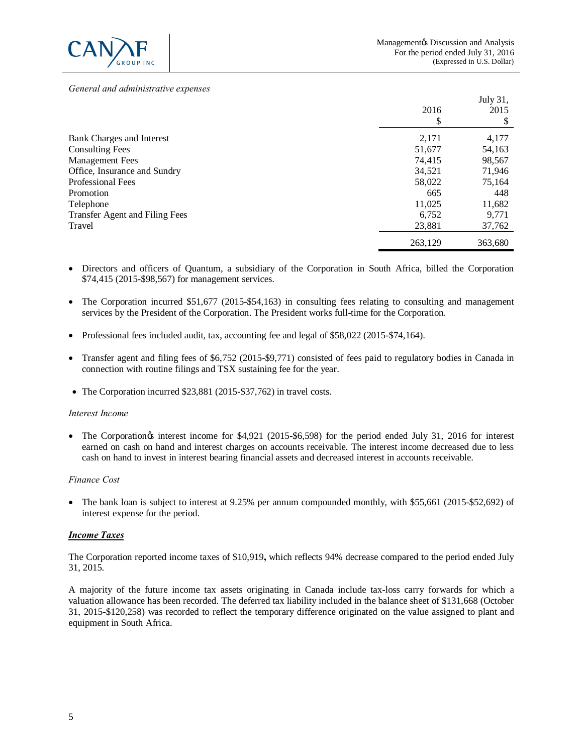

 $J_{11}J_{22}$ , 21

#### *General and administrative expenses*

|                                |         | JULY JI, |
|--------------------------------|---------|----------|
|                                | 2016    | 2015     |
|                                | Φ       |          |
| Bank Charges and Interest      | 2,171   | 4,177    |
| <b>Consulting Fees</b>         | 51,677  | 54,163   |
| <b>Management Fees</b>         | 74,415  | 98,567   |
| Office, Insurance and Sundry   | 34,521  | 71,946   |
| <b>Professional Fees</b>       | 58,022  | 75,164   |
| Promotion                      | 665     | 448      |
| Telephone                      | 11,025  | 11,682   |
| Transfer Agent and Filing Fees | 6.752   | 9.771    |
| Travel                         | 23,881  | 37,762   |
|                                | 263,129 | 363,680  |

- · Directors and officers of Quantum, a subsidiary of the Corporation in South Africa, billed the Corporation \$74,415 (2015-\$98,567) for management services.
- The Corporation incurred \$51,677 (2015-\$54,163) in consulting fees relating to consulting and management services by the President of the Corporation. The President works full-time for the Corporation.
- · Professional fees included audit, tax, accounting fee and legal of \$58,022 (2015-\$74,164).
- · Transfer agent and filing fees of \$6,752 (2015-\$9,771) consisted of fees paid to regulatory bodies in Canada in connection with routine filings and TSX sustaining fee for the year.
- · The Corporation incurred \$23,881 (2015-\$37,762) in travel costs.

### *Interest Income*

• The Corporation interest income for \$4,921 (2015-\$6,598) for the period ended July 31, 2016 for interest earned on cash on hand and interest charges on accounts receivable. The interest income decreased due to less cash on hand to invest in interest bearing financial assets and decreased interest in accounts receivable.

### *Finance Cost*

• The bank loan is subject to interest at 9.25% per annum compounded monthly, with \$55,661 (2015-\$52,692) of interest expense for the period.

### *Income Taxes*

The Corporation reported income taxes of \$10,919**,** which reflects 94% decrease compared to the period ended July 31, 2015.

A majority of the future income tax assets originating in Canada include tax-loss carry forwards for which a valuation allowance has been recorded. The deferred tax liability included in the balance sheet of \$131,668 (October 31, 2015-\$120,258) was recorded to reflect the temporary difference originated on the value assigned to plant and equipment in South Africa.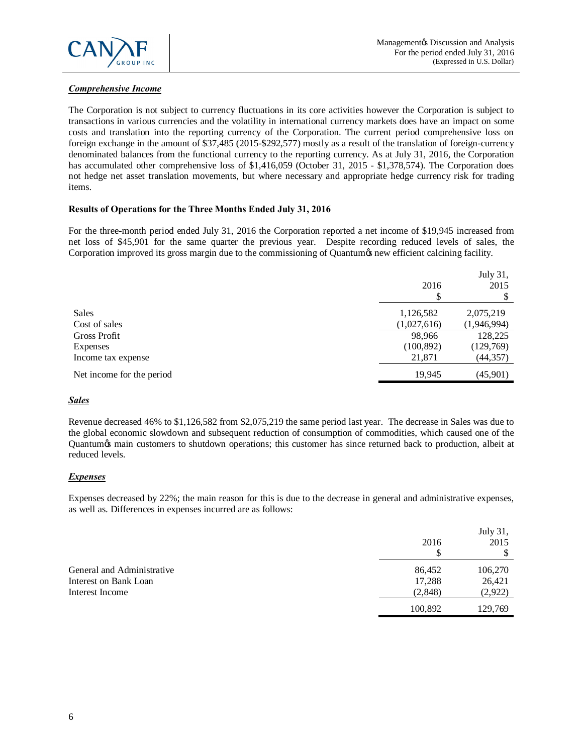

# *Comprehensive Income*

The Corporation is not subject to currency fluctuations in its core activities however the Corporation is subject to transactions in various currencies and the volatility in international currency markets does have an impact on some costs and translation into the reporting currency of the Corporation. The current period comprehensive loss on foreign exchange in the amount of \$37,485 (2015-\$292,577) mostly as a result of the translation of foreign-currency denominated balances from the functional currency to the reporting currency. As at July 31, 2016, the Corporation has accumulated other comprehensive loss of \$1,416,059 (October 31, 2015 - \$1,378,574). The Corporation does not hedge net asset translation movements, but where necessary and appropriate hedge currency risk for trading items.

# **Results of Operations for the Three Months Ended July 31, 2016**

For the three-month period ended July 31, 2016 the Corporation reported a net income of \$19,945 increased from net loss of \$45,901 for the same quarter the previous year. Despite recording reduced levels of sales, the Corporation improved its gross margin due to the commissioning of Quantum  $\alpha$  new efficient calcining facility.

|                           | 2016        | July 31,<br>2015 |
|---------------------------|-------------|------------------|
| Sales                     | 1,126,582   | 2,075,219        |
| Cost of sales             | (1,027,616) | (1,946,994)      |
| Gross Profit              | 98,966      | 128,225          |
| <b>Expenses</b>           | (100, 892)  | (129,769)        |
| Income tax expense        | 21,871      | (44, 357)        |
| Net income for the period | 19.945      | (45,901)         |
|                           |             |                  |

# *Sales*

Revenue decreased 46% to \$1,126,582 from \$2,075,219 the same period last year. The decrease in Sales was due to the global economic slowdown and subsequent reduction of consumption of commodities, which caused one of the Quantum & main customers to shutdown operations; this customer has since returned back to production, albeit at reduced levels.

# *Expenses*

Expenses decreased by 22%; the main reason for this is due to the decrease in general and administrative expenses, as well as. Differences in expenses incurred are as follows:

|                            | 2016<br>S | July 31,<br>2015 |
|----------------------------|-----------|------------------|
| General and Administrative | 86,452    | 106,270          |
| Interest on Bank Loan      | 17,288    | 26,421           |
| Interest Income            | (2,848)   | (2,922)          |
|                            | 100,892   | 129,769          |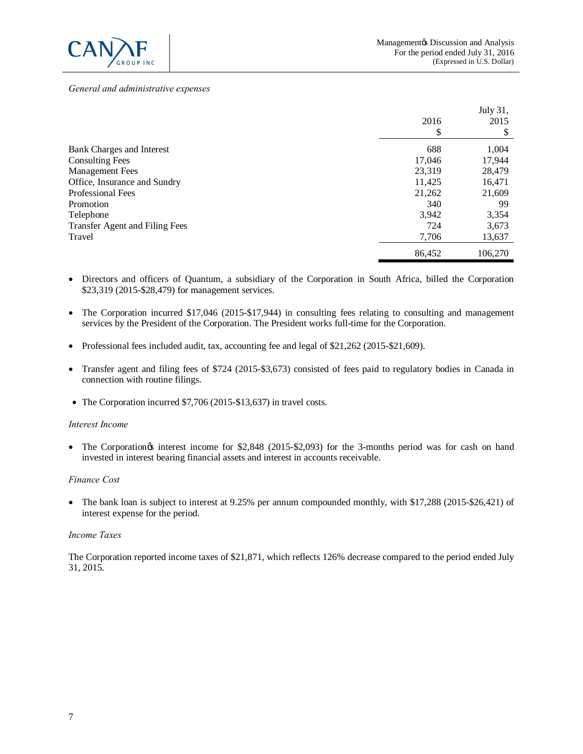

#### *General and administrative expenses*

|                                | 2016<br>\$ | July 31,<br>2015<br>ъĐ |
|--------------------------------|------------|------------------------|
| Bank Charges and Interest      | 688        | 1,004                  |
| <b>Consulting Fees</b>         | 17,046     | 17,944                 |
| <b>Management Fees</b>         | 23,319     | 28,479                 |
| Office, Insurance and Sundry   | 11,425     | 16,471                 |
| <b>Professional Fees</b>       | 21,262     | 21,609                 |
| Promotion                      | 340        | 99                     |
| Telephone                      | 3,942      | 3,354                  |
| Transfer Agent and Filing Fees | 724        | 3,673                  |
| Travel                         | 7,706      | 13,637                 |
|                                | 86,452     | 106,270                |

- · Directors and officers of Quantum, a subsidiary of the Corporation in South Africa, billed the Corporation \$23,319 (2015-\$28,479) for management services.
- The Corporation incurred \$17,046 (2015-\$17,944) in consulting fees relating to consulting and management services by the President of the Corporation. The President works full-time for the Corporation.
- Professional fees included audit, tax, accounting fee and legal of \$21,262 (2015-\$21,609).
- · Transfer agent and filing fees of \$724 (2015-\$3,673) consisted of fees paid to regulatory bodies in Canada in connection with routine filings.
- The Corporation incurred \$7,706 (2015-\$13,637) in travel costs.

#### *Interest Income*

• The Corporation interest income for \$2,848 (2015-\$2,093) for the 3-months period was for cash on hand invested in interest bearing financial assets and interest in accounts receivable.

#### *Finance Cost*

• The bank loan is subject to interest at 9.25% per annum compounded monthly, with \$17,288 (2015-\$26,421) of interest expense for the period.

#### *Income Taxes*

The Corporation reported income taxes of \$21,871, which reflects 126% decrease compared to the period ended July 31, 2015.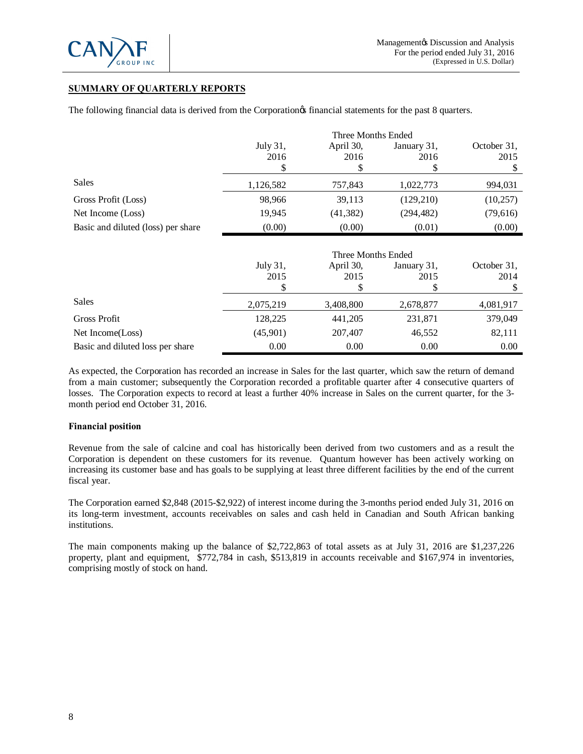

# **SUMMARY OF QUARTERLY REPORTS**

The following financial data is derived from the Corporation *financial* statements for the past 8 quarters.

|                                    | Three Months Ended |                   |                           |                     |
|------------------------------------|--------------------|-------------------|---------------------------|---------------------|
|                                    | July 31,<br>2016   | April 30,<br>2016 | January 31,<br>2016<br>\$ | October 31,<br>2015 |
|                                    |                    |                   |                           |                     |
| Sales                              | 1,126,582          | 757,843           | 1,022,773                 | 994,031             |
| Gross Profit (Loss)                | 98,966             | 39,113            | (129,210)                 | (10,257)            |
| Net Income (Loss)                  | 19,945             | (41, 382)         | (294, 482)                | (79,616)            |
| Basic and diluted (loss) per share | (0.00)             | (0.00)            | (0.01)                    | (0.00)              |
|                                    |                    |                   |                           |                     |

|                                  | Three Months Ended |                   |                     |                     |
|----------------------------------|--------------------|-------------------|---------------------|---------------------|
|                                  | July 31,<br>2015   | April 30,<br>2015 | January 31,<br>2015 | October 31,<br>2014 |
| <b>Sales</b>                     | 2,075,219          | 3,408,800         | 2,678,877           | 4,081,917           |
| Gross Profit                     | 128,225            | 441,205           | 231,871             | 379,049             |
| Net Income(Loss)                 | (45,901)           | 207,407           | 46,552              | 82,111              |
| Basic and diluted loss per share | 0.00               | 0.00              | 0.00                | 0.00                |

As expected, the Corporation has recorded an increase in Sales for the last quarter, which saw the return of demand from a main customer; subsequently the Corporation recorded a profitable quarter after 4 consecutive quarters of losses. The Corporation expects to record at least a further 40% increase in Sales on the current quarter, for the 3 month period end October 31, 2016.

### **Financial position**

Revenue from the sale of calcine and coal has historically been derived from two customers and as a result the Corporation is dependent on these customers for its revenue. Quantum however has been actively working on increasing its customer base and has goals to be supplying at least three different facilities by the end of the current fiscal year.

The Corporation earned \$2,848 (2015-\$2,922) of interest income during the 3-months period ended July 31, 2016 on its long-term investment, accounts receivables on sales and cash held in Canadian and South African banking institutions.

The main components making up the balance of \$2,722,863 of total assets as at July 31, 2016 are \$1,237,226 property, plant and equipment, \$772,784 in cash, \$513,819 in accounts receivable and \$167,974 in inventories, comprising mostly of stock on hand.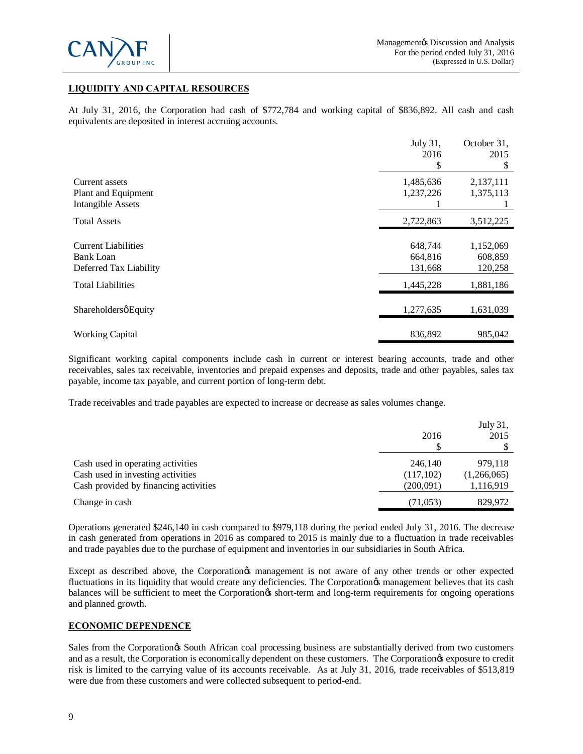

# **LIQUIDITY AND CAPITAL RESOURCES**

At July 31, 2016, the Corporation had cash of \$772,784 and working capital of \$836,892. All cash and cash equivalents are deposited in interest accruing accounts.

|                            | July 31,  | October 31, |
|----------------------------|-----------|-------------|
|                            | 2016      | 2015        |
|                            | S         | S           |
| Current assets             | 1,485,636 | 2,137,111   |
| Plant and Equipment        | 1,237,226 | 1,375,113   |
| <b>Intangible Assets</b>   |           |             |
| Total Assets               | 2,722,863 | 3,512,225   |
|                            |           |             |
| <b>Current Liabilities</b> | 648,744   | 1,152,069   |
| Bank Loan                  | 664,816   | 608,859     |
| Deferred Tax Liability     | 131,668   | 120,258     |
| <b>Total Liabilities</b>   | 1,445,228 | 1,881,186   |
|                            |           |             |
| ShareholdersøEquity        | 1,277,635 | 1,631,039   |
|                            |           |             |
| <b>Working Capital</b>     | 836,892   | 985,042     |

Significant working capital components include cash in current or interest bearing accounts, trade and other receivables, sales tax receivable, inventories and prepaid expenses and deposits, trade and other payables, sales tax payable, income tax payable, and current portion of long-term debt.

Trade receivables and trade payables are expected to increase or decrease as sales volumes change.

|                                                                        | 2016                 | July 31,<br>2015       |
|------------------------------------------------------------------------|----------------------|------------------------|
| Cash used in operating activities<br>Cash used in investing activities | 246.140<br>(117,102) | 979,118<br>(1,266,065) |
| Cash provided by financing activities                                  | (200,091)            | 1,116,919              |
| Change in cash                                                         | (71, 053)            | 829,972                |

Operations generated \$246,140 in cash compared to \$979,118 during the period ended July 31, 2016. The decrease in cash generated from operations in 2016 as compared to 2015 is mainly due to a fluctuation in trade receivables and trade payables due to the purchase of equipment and inventories in our subsidiaries in South Africa.

Except as described above, the Corporation & management is not aware of any other trends or other expected fluctuations in its liquidity that would create any deficiencies. The Corporation<sub>®</sub> management believes that its cash balances will be sufficient to meet the Corporation<sub>®</sub> short-term and long-term requirements for ongoing operations and planned growth.

# **ECONOMIC DEPENDENCE**

Sales from the Corporation is South African coal processing business are substantially derived from two customers and as a result, the Corporation is economically dependent on these customers. The Corporation is exposure to credit risk is limited to the carrying value of its accounts receivable. As at July 31, 2016, trade receivables of \$513,819 were due from these customers and were collected subsequent to period-end.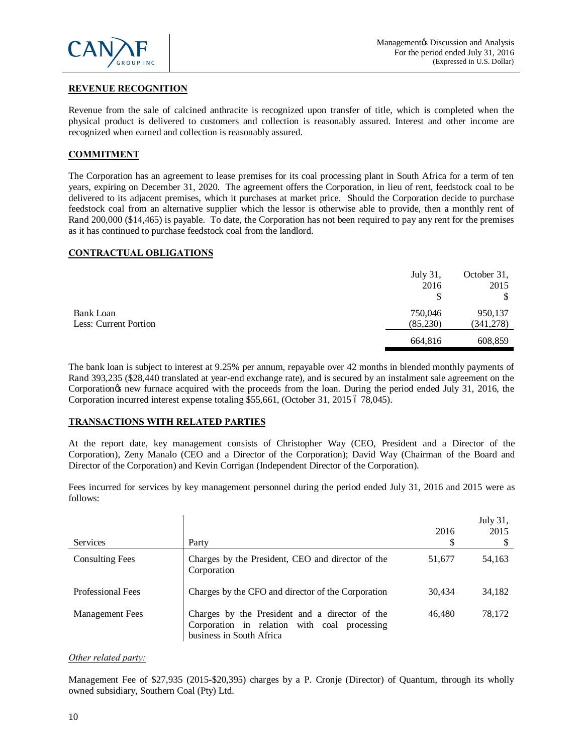

# **REVENUE RECOGNITION**

Revenue from the sale of calcined anthracite is recognized upon transfer of title, which is completed when the physical product is delivered to customers and collection is reasonably assured. Interest and other income are recognized when earned and collection is reasonably assured.

# **COMMITMENT**

The Corporation has an agreement to lease premises for its coal processing plant in South Africa for a term of ten years, expiring on December 31, 2020. The agreement offers the Corporation, in lieu of rent, feedstock coal to be delivered to its adjacent premises, which it purchases at market price. Should the Corporation decide to purchase feedstock coal from an alternative supplier which the lessor is otherwise able to provide, then a monthly rent of Rand 200,000 (\$14,465) is payable. To date, the Corporation has not been required to pay any rent for the premises as it has continued to purchase feedstock coal from the landlord.

### **CONTRACTUAL OBLIGATIONS**

|                       | July 31, | October 31, |
|-----------------------|----------|-------------|
|                       | 2016     | 2015        |
|                       | \$       | \$          |
| Bank Loan             | 750,046  | 950,137     |
| Less: Current Portion | (85,230) | (341,278)   |
|                       | 664,816  | 608,859     |

The bank loan is subject to interest at 9.25% per annum, repayable over 42 months in blended monthly payments of Rand 393,235 (\$28,440 translated at year-end exchange rate), and is secured by an instalment sale agreement on the Corporation<sub>of</sub> new furnace acquired with the proceeds from the loan. During the period ended July 31, 2016, the Corporation incurred interest expense totaling \$55,661, (October 31, 2015 6 78,045).

### **TRANSACTIONS WITH RELATED PARTIES**

At the report date, key management consists of Christopher Way (CEO, President and a Director of the Corporation), Zeny Manalo (CEO and a Director of the Corporation); David Way (Chairman of the Board and Director of the Corporation) and Kevin Corrigan (Independent Director of the Corporation).

Fees incurred for services by key management personnel during the period ended July 31, 2016 and 2015 were as follows:

| <b>Services</b>          | Party                                                                                                                      | 2016<br>\$ | July 31,<br>2015 |
|--------------------------|----------------------------------------------------------------------------------------------------------------------------|------------|------------------|
| <b>Consulting Fees</b>   | Charges by the President, CEO and director of the<br>Corporation                                                           | 51,677     | 54,163           |
| <b>Professional Fees</b> | Charges by the CFO and director of the Corporation                                                                         | 30,434     | 34,182           |
| <b>Management</b> Fees   | Charges by the President and a director of the<br>Corporation in relation with coal processing<br>business in South Africa | 46,480     | 78.172           |

### *Other related party:*

Management Fee of \$27,935 (2015-\$20,395) charges by a P. Cronje (Director) of Quantum, through its wholly owned subsidiary, Southern Coal (Pty) Ltd.